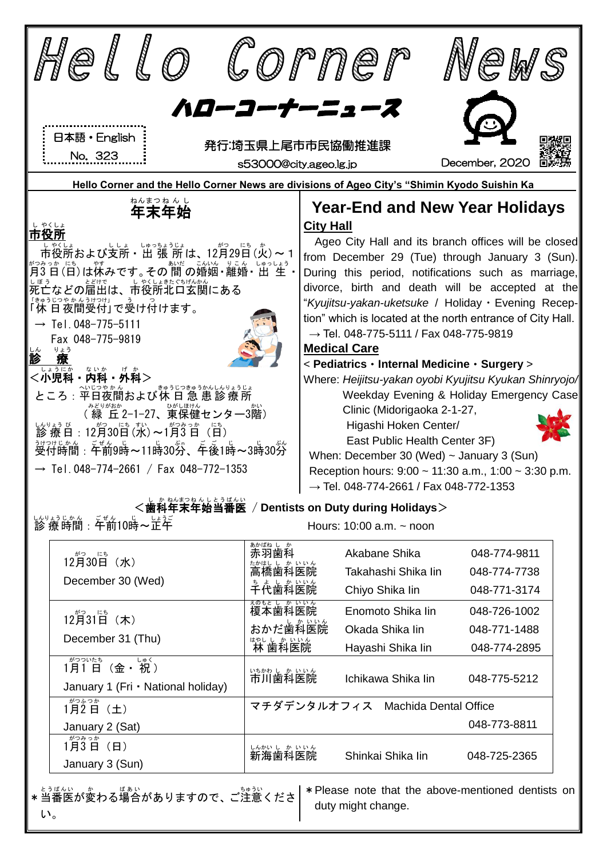

い。

duty might change.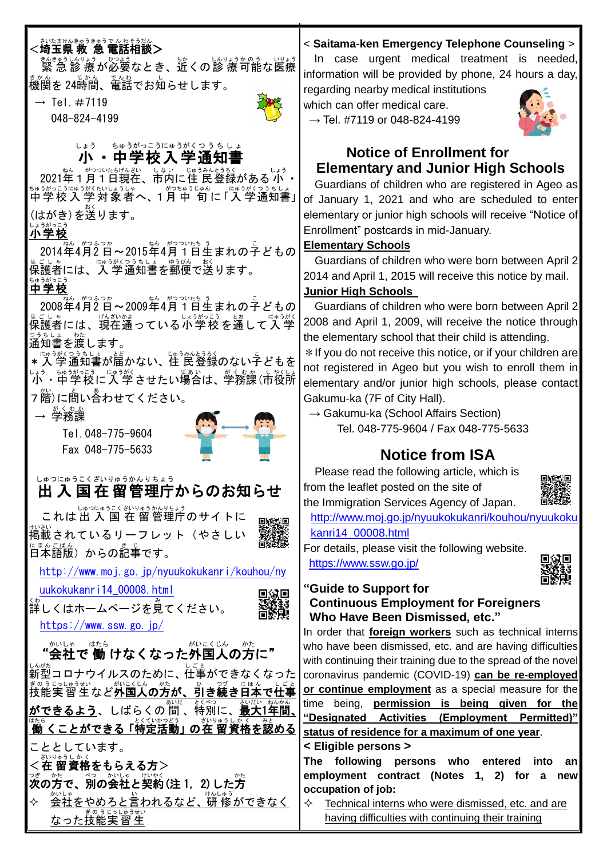## さいたまけんきゅうきゅうでん わそうだん<br><**埼玉県 救 急 電話相談>**

<sub>きんきゅうしんりょう ひょう いしょう<br>緊 急 診 療 が必要なとき、近くの診 療 可能な医療</sub> まかん でいかん でんお<br>機関を 24時間、電話でお知らせします。

 $\rightarrow$  Tel.  $\#7119$ 

048-824-4199



# └ょぅ <sub>⋾∲ぅがっこぅにゅぅがくっぅぅ∪ょ<br>**小・中学校入学通知書**</sub>

2021年1月1日現在、市内に住 民登録がある 小 ・ <u>ᢠゅうがっこうにゅうびゅうじゅん</u><br>中学校入学対象者へ、1月中 旬に「入学通知書」│ 。<br>(はがき)を送ります。

## 小学校 しょうがっこう

2014年 ねん 4月 がつ 2 日 ふつか ~2015年 ねん 4月 がつ 1日 ついたち 生 う まれの子 こ どもの <sub>ほごしゃ</sub><br>保護者には、入 学通知書を郵便で送ります。 。。。。。<br>**中学校** 

2008年4月2日~2009年4月1日生まれの子どもの <sub>ほごしゃ</sub><br>保護者には、現在通っている小学校を通して入 学 通知書 つうちしょ を渡 わた します。

★入 学通知書が届かない、住 民登録のない子どもを 小 しょう ・中学校 ちゅうがっこう に入 学 にゅうがく させたい場合 ばあい は、学務課 がくむか (市 し 役所 やくしょ 7 階)に問い合わせてください。

→ 学務課 がくむか

Tel.048-775-9604 Fax 048-775-5633



#### 出入国 在 留 管理庁 からのお知らせ しゅつにゅうこく ざいりゅう かんりちょう

これは出 入 国 在 留管理庁のサイトに <sub>サトクホト</sub><br>掲載されているリーフレット(やさしい 。。。。。。<br>日本語版)からの記事です。

[http://www.moj.go.jp/nyuukokukanri/kouhou/ny](http://www.moj.go.jp/nyuukokukanri/kouhou/nyuukokukanri14_00008.html)

[uukokukanri14\\_00008.html](http://www.moj.go.jp/nyuukokukanri/kouhou/nyuukokukanri14_00008.html)

、。<br>詳しくはホームページを見てください。 <https://www.ssw.go.jp/>

#### "会社 かいしゃ で 働 けなくなった外国人 がいこくじん の方 かた に" いしゃ はたら

」。<br>新型コロナウイルスのために、 仕事ができなくなった <sub>ぎのうじっしゅうむ</sub>、<br>技能実習生など**外国人の方が、引き続き日本で仕事** ができるよう、しばらくの 間 、特別に、最大1年間、 はち<br>【働 くことができる 「特定活動」 の在 留資格を認める こととしています。

\_ <sub>ざいゅうしゕく</sub><br><在 **留資格をもらえる方>** 。<br>**茨の方で、別の会社と契約(注 1, 2)した方** ☆ <u>会社をやめろと言われるなど、研 修ができなく</u> なった技能 ぎのう 実習生 じっしゅうせい

### < **Saitama-ken Emergency Telephone Counseling** >

In case urgent medical treatment is needed, information will be provided by phone, 24 hours a day,

regarding nearby medical institutions which can offer medical care.  $\rightarrow$  Tel. #7119 or 048-824-4199



### **Notice of Enrollment for Elementary and Junior High Schools**

Guardians of children who are registered in Ageo as of January 1, 2021 and who are scheduled to enter elementary or junior high schools will receive "Notice of Enrollment" postcards in mid-January.

#### **Elementary Schools**

Guardians of children who were born between April 2, 2014 and April 1, 2015 will receive this notice by mail.

### **Junior High Schools**

Guardians of children who were born between April 2, 2008 and April 1, 2009, will receive the notice through the elementary school that their child is attending.

\*If you do not receive this notice, or if your children are not registered in Ageo but you wish to enroll them in elementary and/or junior high schools, please contact Gakumu-ka (7F of City Hall).

 $\rightarrow$  Gakumu-ka (School Affairs Section) Tel. 048-775-9604 / Fax 048-775-5633

## **Notice from ISA**

Please read the following article, which is from the leaflet posted on the site of the Immigration Services Agency of Japan.



[http://www.moj.go.jp/nyuukokukanri/kouhou/nyuukoku](http://www.moj.go.jp/nyuukokukanri/kouhou/nyuukokukanri14_00008.html) [kanri14\\_00008.html](http://www.moj.go.jp/nyuukokukanri/kouhou/nyuukokukanri14_00008.html)

For details, please visit the following website. <https://www.ssw.go.jp/>



#### **"Guide to Support for Continuous Employment for Foreigners Who Have Been Dismissed, etc."**

In order that **foreign workers** such as technical interns who have been dismissed, etc. and are having difficulties with continuing their training due to the spread of the novel coronavirus pandemic (COVID-19) **can be re-employed or continue employment** as a special measure for the time being, **permission is being given for the "Designated Activities (Employment Permitted)" status of residence for a maximum of one year**. **< Eligible persons >**

**The following persons who entered into an employment contract (Notes 1, 2) for a new occupation of job:**

 $\Diamond$  Technical interns who were dismissed, etc. and are having difficulties with continuing their training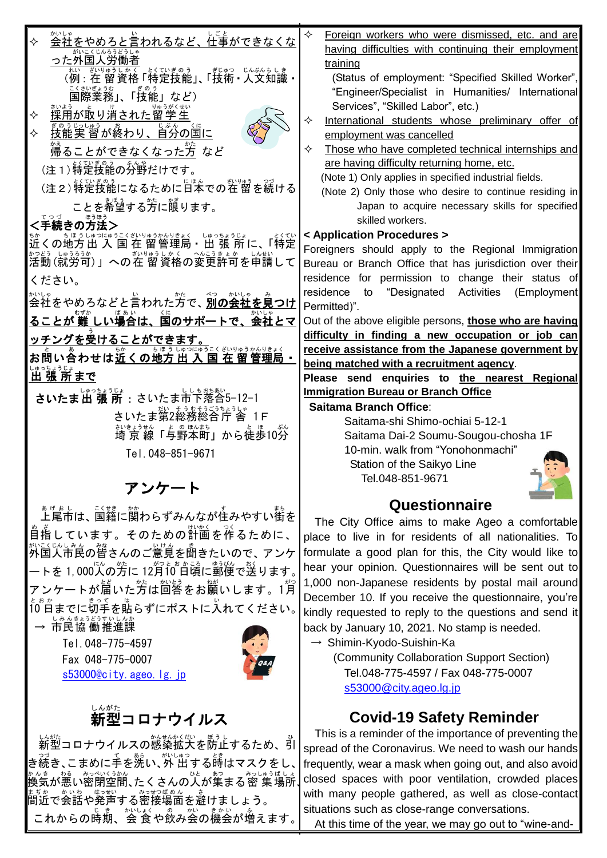| かいしゃ<br><u>会社をやめろと言われるなど、仕事が</u> できなくな                      | ✧<br>Foreign workers who were dismissed, etc. and are                    |
|-------------------------------------------------------------|--------------------------------------------------------------------------|
|                                                             | having difficulties with continuing their employment                     |
| った外国人労働者                                                    | training                                                                 |
|                                                             | (Status of employment: "Specified Skilled Worker",                       |
| 国際業務」、「技能」など)                                               | "Engineer/Specialist in Humanities/ International                        |
| 採用が取り消された留 学生                                               | Services", "Skilled Labor", etc.)                                        |
| <u>まのうじっしゅう おいののである。</u><br><u>技能実 習が終わり、自分の国に</u>          | ✧<br>International students whose preliminary offer of                   |
| ✧                                                           | employment was cancelled                                                 |
| 帰ることができなくなった方 など                                            | ✧<br>Those who have completed technical internships and                  |
| (注1) 特定我能の分野だけです。                                           | are having difficulty returning home, etc.                               |
| (注2) 特定技能になるために旨本での社 留を続ける                                  | (Note 1) Only applies in specified industrial fields.                    |
| ことを希望する芳に限ります。                                              | (Note 2) Only those who desire to continue residing in                   |
|                                                             | Japan to acquire necessary skills for specified<br>skilled workers.      |
| 、。。。<br><手続きの方法>                                            | < Application Procedures >                                               |
|                                                             | Foreigners should apply to the Regional Immigration                      |
| ざいりゅうしかく<br>ーー<br>かつどう しゅうろうか<br>活動 (就労可)」への在 留資格の変更許可を申請して | Bureau or Branch Office that has jurisdiction over their                 |
| ください。                                                       | residence for permission to change their status of                       |
|                                                             | to "Designated Activities<br>residence<br>(Employment                    |
|                                                             | Permitted)".                                                             |
| ることが 難 しい場合は、国のサポートで、会社とマ                                   | Out of the above eligible persons, those who are having                  |
| <u>ッチングを受けることができます。</u>                                     | difficulty in finding a new occupation or job can                        |
| お問い合わせは近くの地方出入国在留管理局 .                                      | receive assistance from the Japanese government by                       |
|                                                             | being matched with a recruitment agency.                                 |
| <u>。。。。。。。</u><br>出 張 所まで                                   | Please send enquiries to the nearest Regional                            |
| <b>さいたま出 張 所</b> : さいたま市下落合5-12-1                           | <b>Immigration Bureau or Branch Office</b>                               |
| さいたま第2総務総合庁 舎<br>- I F                                      | Saitama Branch Office:                                                   |
| 詩詩談「与野本町」から徒歩10分                                            | Saitama-shi Shimo-ochiai 5-12-1                                          |
|                                                             | Saitama Dai-2 Soumu-Sougou-chosha 1F<br>10-min. walk from "Yonohonmachi" |
| Tel. 048-851-9671                                           | Station of the Saikyo Line                                               |
|                                                             | Tel.048-851-9671                                                         |
| アンケート                                                       |                                                                          |
|                                                             | Questionnaire                                                            |
| ぁゖぉ」<br>上尾市は、国籍に関わらずみんなが住みやすい街を                             | The City Office aims to make Ageo a comfortable                          |
| そのための計画を作るために、<br>目指しています。                                  | place to live in for residents of all nationalities. To                  |
| * <u>いこくじょしろ</u><br> 外国人市民の皆さんのご意見を聞きたいので、アンケ               | formulate a good plan for this, the City would like to                   |
| トを 1,000人の方に 12月10 日頃に郵便で送ります。                              | hear your opinion. Questionnaires will be sent out to                    |
| ートが届いた方は回答をお願いします。1 <sup>約</sup>                            | 1,000 non-Japanese residents by postal mail around                       |
|                                                             | December 10. If you receive the questionnaire, you're                    |
| 。。。<br>10゚白までに切手を貼らずにポストに入れてください。                           | kindly requested to reply to the questions and send it                   |
| 」みんきょうどうすいしんか<br><b>市民協働推進課</b>                             | back by January 10, 2021. No stamp is needed.                            |
| Tel. 048-775-4597                                           | $\rightarrow$ Shimin-Kyodo-Suishin-Ka                                    |
| Fax 048-775-0007                                            | (Community Collaboration Support Section)                                |
| s53000@city.ageo.lg.jp                                      | Tel.048-775-4597 / Fax 048-775-0007                                      |
|                                                             | s53000@city.ageo.lg.jp                                                   |
| しんがた                                                        |                                                                          |
| 新型コロナウイルス                                                   | <b>Covid-19 Safety Reminder</b>                                          |

┃ 新型コロナウイルスの感染拡大を防止するため、引 |<br>|き続き、こまめに手を洗い、外 出する時はマスクをし、|

ま<sub>る。</sub><br>間近で会話や発声する密接場面を避けましょう。

これからの時期、会食や飲み会の機会が増えます。

### **Covid-19 Safety Reminder**

☆☆き ☆☆ いっぷくうか。<br>換気が悪い密閉空間、たくさんの人が集まる密 集場所∫¢ This is a reminder of the importance of preventing the spread of the Coronavirus. We need to wash our hands frequently, wear a mask when going out, and also avoid closed spaces with poor ventilation, crowded places with many people gathered, as well as close-contact situations such as close-range conversations.

At this time of the year, we may go out to "wine-and-